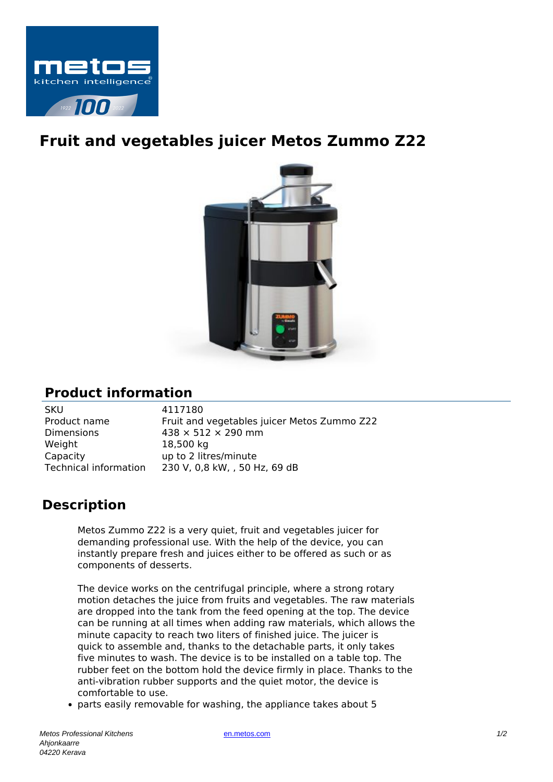

## **Fruit and vegetables juicer Metos Zummo Z22**



## **Product information**

SKU 4117180 Dimensions  $438 \times 512 \times 290$  mm Weight 18,500 kg Capacity up to 2 litres/minute

Product name Fruit and vegetables juicer Metos Zummo Z22 Technical information 230 V, 0,8 kW, , 50 Hz, 69 dB

## **Description**

Metos Zummo Z22 is a very quiet, fruit and vegetables juicer for demanding professional use. With the help of the device, you can instantly prepare fresh and juices either to be offered as such or as components of desserts.

The device works on the centrifugal principle, where a strong rotary motion detaches the juice from fruits and vegetables. The raw materials are dropped into the tank from the feed opening at the top. The device can be running at all times when adding raw materials, which allows the minute capacity to reach two liters of finished juice. The juicer is quick to assemble and, thanks to the detachable parts, it only takes five minutes to wash. The device is to be installed on a table top. The rubber feet on the bottom hold the device firmly in place. Thanks to the anti-vibration rubber supports and the quiet motor, the device is comfortable to use.

parts easily removable for washing, the appliance takes about 5